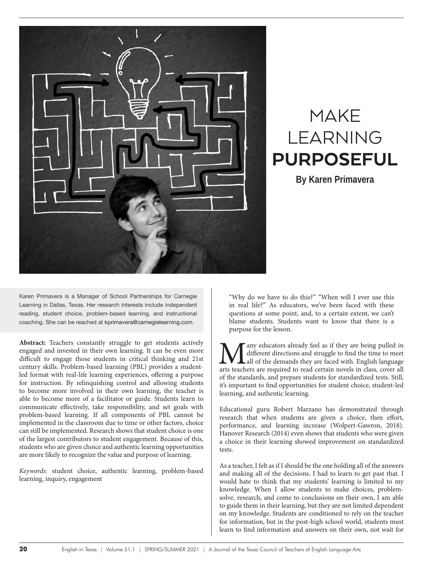

# MAKE LEARNING PURPOSEFUL

**By Karen Primavera** 

Karen Primavera is a Manager of School Partnerships for Carnegie Learning in Dallas, Texas. Her research interests include independent reading, student choice, problem-based learning, and instructional coaching. She can be reached at kprimavera@carnegielearning.com.

**Abstract:** Teachers constantly struggle to get students actively engaged and invested in their own learning. It can be even more difficult to engage those students in critical thinking and 21st century skills. Problem-based learning (PBL) provides a studentled format with real-life learning experiences, offering a purpose for instruction. By relinquishing control and allowing students to become more involved in their own learning, the teacher is able to become more of a facilitator or guide. Students learn to communicate effectively, take responsibility, and set goals with problem-based learning. If all components of PBL cannot be implemented in the classroom due to time or other factors, choice can still be implemented. Research shows that student choice is one of the largest contributors to student engagement. Because of this, students who are given choice and authentic learning opportunities are more likely to recognize the value and purpose of learning.

*Keywords:* student choice, authentic learning, problem-based learning, inquiry, engagement

"Why do we have to do this?" "When will I ever use this in real life?" As educators, we've been faced with these questions at some point, and, to a certain extent, we can't blame students. Students want to know that there is a purpose for the lesson.

**M** any educators already feel as if they are being pulled in different directions and struggle to find the time to meet all of the demands they are faced with. English language arts teachers are required to read certain n different directions and struggle to find the time to meet all of the demands they are faced with. English language of the standards, and prepare students for standardized tests. Still, it's important to find opportunities for student choice, student-led learning, and authentic learning.

Educational guru Robert Marzano has demonstrated through research that when students are given a choice, then effort, performance, and learning increase (Wolpert-Gawron, 2018). Hanover Research (2014) even shows that students who were given a choice in their learning showed improvement on standardized tests.

As a teacher, I felt as if I should be the one holding all of the answers and making all of the decisions. I had to learn to get past that. I would hate to think that my students' learning is limited to my knowledge. When I allow students to make choices, problemsolve, research, and come to conclusions on their own, I am able to guide them in their learning, but they are not limited dependent on my knowledge. Students are conditioned to rely on the teacher for information, but in the post-high school world, students must learn to find information and answers on their own, not wait for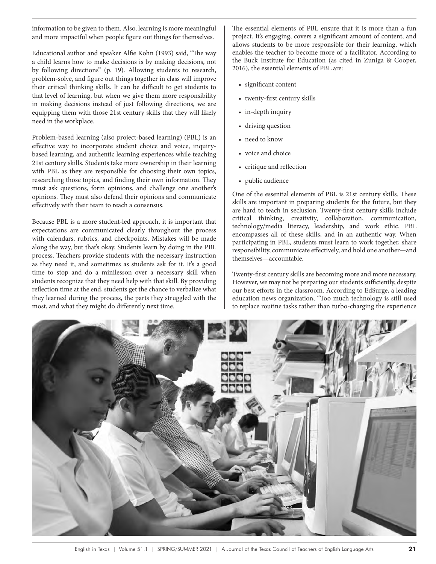information to be given to them. Also, learning is more meaningful and more impactful when people figure out things for themselves.

Educational author and speaker Alfie Kohn (1993) said, "The way a child learns how to make decisions is by making decisions, not by following directions" (p. 19). Allowing students to research, problem-solve, and figure out things together in class will improve their critical thinking skills. It can be difficult to get students to that level of learning, but when we give them more responsibility in making decisions instead of just following directions, we are equipping them with those 21st century skills that they will likely need in the workplace.

Problem-based learning (also project-based learning) (PBL) is an effective way to incorporate student choice and voice, inquirybased learning, and authentic learning experiences while teaching 21st century skills. Students take more ownership in their learning with PBL as they are responsible for choosing their own topics, researching those topics, and finding their own information. They must ask questions, form opinions, and challenge one another's opinions. They must also defend their opinions and communicate effectively with their team to reach a consensus.

Because PBL is a more student-led approach, it is important that expectations are communicated clearly throughout the process with calendars, rubrics, and checkpoints. Mistakes will be made along the way, but that's okay. Students learn by doing in the PBL process. Teachers provide students with the necessary instruction as they need it, and sometimes as students ask for it. It's a good time to stop and do a minilesson over a necessary skill when students recognize that they need help with that skill. By providing reflection time at the end, students get the chance to verbalize what they learned during the process, the parts they struggled with the most, and what they might do differently next time.

The essential elements of PBL ensure that it is more than a fun project. It's engaging, covers a significant amount of content, and allows students to be more responsible for their learning, which enables the teacher to become more of a facilitator. According to the Buck Institute for Education (as cited in Zuniga & Cooper, 2016), the essential elements of PBL are:

- significant content
- twenty-first century skills
- in-depth inquiry
- driving question
- need to know
- voice and choice
- critique and reflection
- public audience

One of the essential elements of PBL is 21st century skills. These skills are important in preparing students for the future, but they are hard to teach in seclusion. Twenty-first century skills include critical thinking, creativity, collaboration, communication, technology/media literacy, leadership, and work ethic. PBL encompasses all of these skills, and in an authentic way. When participating in PBL, students must learn to work together, share responsibility, communicate effectively, and hold one another—and themselves—accountable.

Twenty-first century skills are becoming more and more necessary. However, we may not be preparing our students sufficiently, despite our best efforts in the classroom. According to EdSurge, a leading education news organization, "Too much technology is still used to replace routine tasks rather than turbo-charging the experience

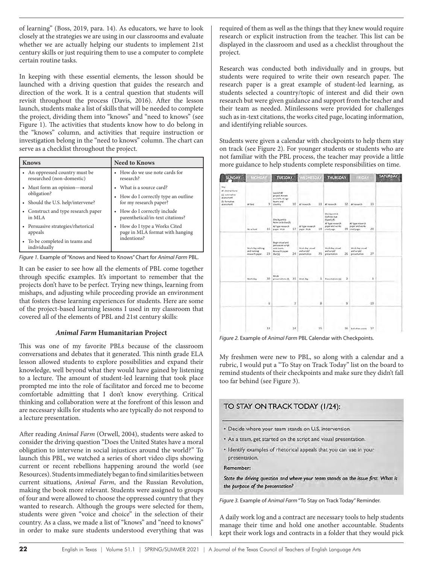of learning" (Boss, 2019, para. 14). As educators, we have to look closely at the strategies we are using in our classrooms and evaluate whether we are actually helping our students to implement 21st century skills or just requiring them to use a computer to complete certain routine tasks.

In keeping with these essential elements, the lesson should be launched with a driving question that guides the research and direction of the work. It is a central question that students will revisit throughout the process (Davis, 2016). After the lesson launch, students make a list of skills that will be needed to complete the project, dividing them into "knows" and "need to knows" (see Figure 1). The activities that students know how to do belong in the "knows" column, and activities that require instruction or investigation belong in the "need to knows" column. The chart can serve as a checklist throughout the project.

| <b>Knows</b>                                                | <b>Need to Knows</b>                                                                       |
|-------------------------------------------------------------|--------------------------------------------------------------------------------------------|
| • An oppressed country must be<br>researched (non-domestic) | • How do we use note cards for<br>research?                                                |
| • Must form an opinion—moral                                | • What is a source card?                                                                   |
| obligation?                                                 | • How do I correctly type an outline                                                       |
| • Should the U.S. help/intervene?                           | for my research paper?                                                                     |
| Construct and type research paper<br>in MLA                 | • How do I correctly include<br>parenthetical/in-text citations?                           |
| • Persuasive strategies/rhetorical<br>appeals               | How do I type a Works Cited<br>$\bullet$<br>page in MLA format with hanging<br>indentions? |
| To be completed in teams and<br>individually                |                                                                                            |

*Figure 1.* Example of "Knows and Need to Knows" Chart for *Animal Farm* PBL.

It can be easier to see how all the elements of PBL come together through specific examples. It's important to remember that the projects don't have to be perfect. Trying new things, learning from mishaps, and adjusting while proceeding provide an environment that fosters these learning experiences for students. Here are some of the project-based learning lessons I used in my classroom that covered all of the elements of PBL and 21st century skills:

## *Animal Farm* **Humanitarian Project**

This was one of my favorite PBLs because of the classroom conversations and debates that it generated. This ninth grade ELA lesson allowed students to explore possibilities and expand their knowledge, well beyond what they would have gained by listening to a lecture. The amount of student-led learning that took place prompted me into the role of facilitator and forced me to become comfortable admitting that I don't know everything. Critical thinking and collaboration were at the forefront of this lesson and are necessary skills for students who are typically do not respond to a lecture presentation.

After reading *Animal Farm* (Orwell, 2004), students were asked to consider the driving question "Does the United States have a moral obligation to intervene in social injustices around the world?" To launch this PBL, we watched a series of short video clips showing current or recent rebellions happening around the world (see Resources). Students immediately began to find similarities between current situations, *Animal Farm*, and the Russian Revolution, making the book more relevant. Students were assigned to groups of four and were allowed to choose the oppressed country that they wanted to research. Although the groups were selected for them, students were given "voice and choice" in the selection of their country. As a class, we made a list of "knows" and "need to knows" in order to make sure students understood everything that was

required of them as well as the things that they knew would require research or explicit instruction from the teacher. This list can be displayed in the classroom and used as a checklist throughout the project.

Research was conducted both individually and in groups, but students were required to write their own research paper. The research paper is a great example of student-led learning, as students selected a country/topic of interest and did their own research but were given guidance and support from the teacher and their team as needed. Minilessons were provided for challenges such as in-text citations, the works cited page, locating information, and identifying reliable sources.

Students were given a calendar with checkpoints to help them stay on track (see Figure 2). For younger students or students who are not familiar with the PBL process, the teacher may provide a little more guidance to help students complete responsibilities on time.



*Figure 2.* Example of *Animal Farm* PBL Calendar with Checkpoints.

My freshmen were new to PBL, so along with a calendar and a rubric, I would put a "To Stay on Track Today" list on the board to remind students of their checkpoints and make sure they didn't fall too far behind (see Figure 3).

# TO STAY ON TRACK TODAY (1/24):

- \* Decide where your team stands on U.S. intervention.
- . As a team, get started on the script and visual presentation.
- . Identify examples of rhetorical appeals that you can use in your presentation,

Remember:

State the driving question and where your team stands on the issue first. What is the purpose of the presentation?

*Figure 3.* Example of *Animal Farm* "To Stay on Track Today" Reminder.

A daily work log and a contract are necessary tools to help students manage their time and hold one another accountable. Students kept their work logs and contracts in a folder that they would pick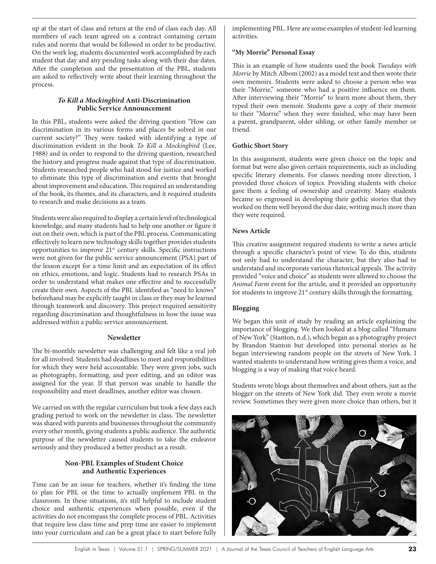up at the start of class and return at the end of class each day. All members of each team agreed on a contract containing certain rules and norms that would be followed in order to be productive. On the work log, students documented work accomplished by each student that day and any pending tasks along with their due dates. After the completion and the presentation of the PBL, students are asked to reflectively write about their learning throughout the process.

# *To Kill a Mockingbird* **Anti-Discrimination Public Service Announcement**

In this PBL, students were asked the driving question "How can discrimination in its various forms and places be solved in our current society?" They were tasked with identifying a type of discrimination evident in the book *To Kill a Mockingbird* (Lee, 1988) and in order to respond to the driving question, researched the history and progress made against that type of discrimination. Students researched people who had stood for justice and worked to eliminate this type of discrimination and events that brought about improvement and education. This required an understanding of the book, its themes, and its characters, and it required students to research and make decisions as a team.

Students were also required to display a certain level of technological knowledge, and many students had to help one another or figure it out on their own, which is part of the PBL process. Communicating effectively to learn new technology skills together provides students opportunities to improve 21st century skills. Specific instructions were not given for the public service announcement (PSA) part of the lesson except for a time limit and an expectation of its effect on ethics, emotions, and logic. Students had to research PSAs in order to understand what makes one effective and to successfully create their own. Aspects of the PBL identified as "need to knows" beforehand may be explicitly taught in class or they may be learned through teamwork and discovery. This project required sensitivity regarding discrimination and thoughtfulness in how the issue was addressed within a public service announcement.

## **Newsletter**

The bi-monthly newsletter was challenging and felt like a real job for all involved. Students had deadlines to meet and responsibilities for which they were held accountable. They were given jobs, such as photography, formatting, and peer editing, and an editor was assigned for the year. If that person was unable to handle the responsibility and meet deadlines, another editor was chosen.

We carried on with the regular curriculum but took a few days each grading period to work on the newsletter in class. The newsletter was shared with parents and businesses throughout the community every other month, giving students a public audience. The authentic purpose of the newsletter caused students to take the endeavor seriously and they produced a better product as a result.

## **Non-PBL Examples of Student Choice and Authentic Experiences**

Time can be an issue for teachers, whether it's finding the time to plan for PBL or the time to actually implement PBL in the classroom. In these situations, it's still helpful to include student choice and authentic experiences when possible, even if the activities do not encompass the complete process of PBL. Activities that require less class time and prep time are easier to implement into your curriculum and can be a great place to start before fully

implementing PBL. Here are some examples of student-led learning activities.

## **"My Morrie" Personal Essay**

This is an example of how students used the book *Tuesdays with Morrie* by Mitch Albom (2002) as a model text and then wrote their own memoirs. Students were asked to choose a person who was their "Morrie," someone who had a positive influence on them. After interviewing their "Morrie" to learn more about them, they typed their own memoir. Students gave a copy of their memoir to their "Morrie" when they were finished, who may have been a parent, grandparent, older sibling, or other family member or friend.

## **Gothic Short Story**

In this assignment, students were given choice on the topic and format but were also given certain requirements, such as including specific literary elements. For classes needing more direction, I provided three choices of topics. Providing students with choice gave them a feeling of ownership and creativity. Many students became so engrossed in developing their gothic stories that they worked on them well beyond the due date, writing much more than they were required.

## **News Article**

This creative assignment required students to write a news article through a specific character's point of view. To do this, students not only had to understand the character, but they also had to understand and incorporate various rhetorical appeals. The activity provided "voice and choice" as students were allowed to choose the *Animal Farm* event for the article, and it provided an opportunity for students to improve  $21<sup>st</sup>$  century skills through the formatting.

# **Blogging**

We began this unit of study by reading an article explaining the importance of blogging. We then looked at a blog called "Humans of New York" (Stanton, n.d.), which began as a photography project by Brandon Stanton but developed into personal stories as he began interviewing random people on the streets of New York. I wanted students to understand how writing gives them a voice, and blogging is a way of making that voice heard.

Students wrote blogs about themselves and about others, just as the blogger on the streets of New York did. They even wrote a movie review. Sometimes they were given more choice than others, but it

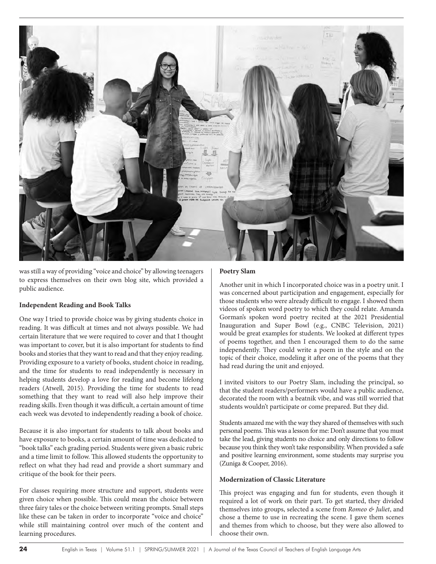

was still a way of providing "voice and choice" by allowing teenagers to express themselves on their own blog site, which provided a public audience.

## **Independent Reading and Book Talks**

One way I tried to provide choice was by giving students choice in reading. It was difficult at times and not always possible. We had certain literature that we were required to cover and that I thought was important to cover, but it is also important for students to find books and stories that they want to read and that they enjoy reading. Providing exposure to a variety of books, student choice in reading, and the time for students to read independently is necessary in helping students develop a love for reading and become lifelong readers (Atwell, 2015). Providing the time for students to read something that they want to read will also help improve their reading skills. Even though it was difficult, a certain amount of time each week was devoted to independently reading a book of choice.

Because it is also important for students to talk about books and have exposure to books, a certain amount of time was dedicated to "book talks" each grading period. Students were given a basic rubric and a time limit to follow. This allowed students the opportunity to reflect on what they had read and provide a short summary and critique of the book for their peers.

For classes requiring more structure and support, students were given choice when possible. This could mean the choice between three fairy tales or the choice between writing prompts. Small steps like these can be taken in order to incorporate "voice and choice" while still maintaining control over much of the content and learning procedures.

## **Poetry Slam**

Another unit in which I incorporated choice was in a poetry unit. I was concerned about participation and engagement, especially for those students who were already difficult to engage. I showed them videos of spoken word poetry to which they could relate. Amanda Gorman's spoken word poetry recited at the 2021 Presidential Inauguration and Super Bowl (e.g., CNBC Television, 2021) would be great examples for students. We looked at different types of poems together, and then I encouraged them to do the same independently. They could write a poem in the style and on the topic of their choice, modeling it after one of the poems that they had read during the unit and enjoyed.

I invited visitors to our Poetry Slam, including the principal, so that the student readers/performers would have a public audience, decorated the room with a beatnik vibe, and was still worried that students wouldn't participate or come prepared. But they did.

Students amazed me with the way they shared of themselves with such personal poems. This was a lesson for me: Don't assume that you must take the lead, giving students no choice and only directions to follow because you think they won't take responsibility. When provided a safe and positive learning environment, some students may surprise you (Zuniga & Cooper, 2016).

## **Modernization of Classic Literature**

This project was engaging and fun for students, even though it required a lot of work on their part. To get started, they divided themselves into groups, selected a scene from *Romeo & Juliet*, and chose a theme to use in recreating the scene. I gave them scenes and themes from which to choose, but they were also allowed to choose their own.